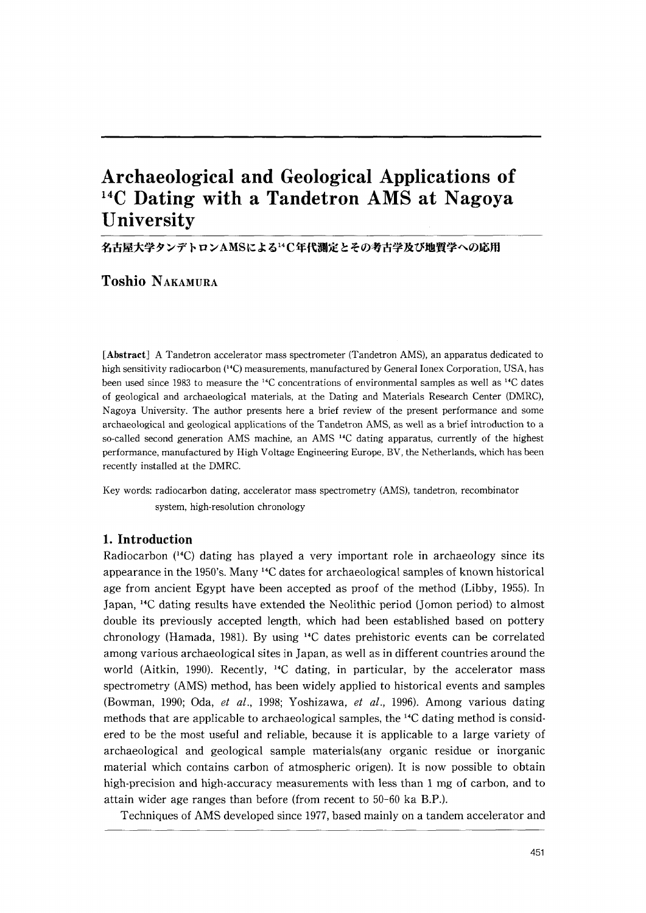# Archaeological and Geological Applications of  $14$ C Dating with a Tandetron AMS at Nagoya **University**

名古屋大学タンデトロンAMSによる14C年代測定とその考古学及び地質学への応用

Toshio NAKAMuRA

[Abstract] A Tandetron accelerator mass spectrometer (Tandetron AMS), an apparatus dedicated to high sensitivity radiocarbon (<sup>14</sup>C) measurements, manufactured by General Ionex Corporation, USA, has been used since 1983 to measure the 14C concentrations of environmental samples as well as 14C dates of geological and archaeological materials, at the Dating and Materials Research Center(DMRC), Nagoya University. The author presents here a brief review of the present performance and some archaeological and geological applications of the Tandetron AMS, as well as a brief introduction to a so-called second generation AMS machine, an AMS <sup>14</sup>C dating apparatus, currently of the highest performance, manufactured by High Voltage Engineering Europe, BV, the Netherlands, which has been recently installed at the DMRC.

Key words: radiocarbon dating, accelerator mass spectrometry (AMS), tandetron, recombinator system, high-resolution chronology

# 1.Introduction

Radiocarbon  $(14)$  dating has played a very important role in archaeology since its appearance in the 1950's. Many 14C dates for archaeological samples of known historical age from ancient Egypt have been accepted as proof of the method(Libby,1955). In Japan, <sup>14</sup>C dating results have extended the Neolithic period (Jomon period) to almost double its previously accepted length, which had been established based on pottery chronology (Hamada, 1981). By using  $14C$  dates prehistoric events can be correlated among various archaeological sites in Japan, as well as in different countries around the world (Aitkin, 1990). Recently, <sup>14</sup>C dating, in particular, by the accelerator mass spectrometry (AMS) method, has been widely applied to historical events and samples (Bowman, 1990; Oda, et al., 1998; Yoshizawa, et al., 1996). Among various dating methods that are applicable to archaeological samples, the  $^{14}C$  dating method is considered to be the most useful and reliable, because it is applicable to a large variety of archaeological and geological sample materials(any organic residue or inorganic material which contains carbon of atmospheric origen). It is now possible to obtain high-precision and high-accuracy measurements with less than 1 mg of carbon, and to attain wider age ranges than before(from recent to 50-60 ka B.P.).

Techniques of AMS developed since 1977, based mainly on a tandem accelerator and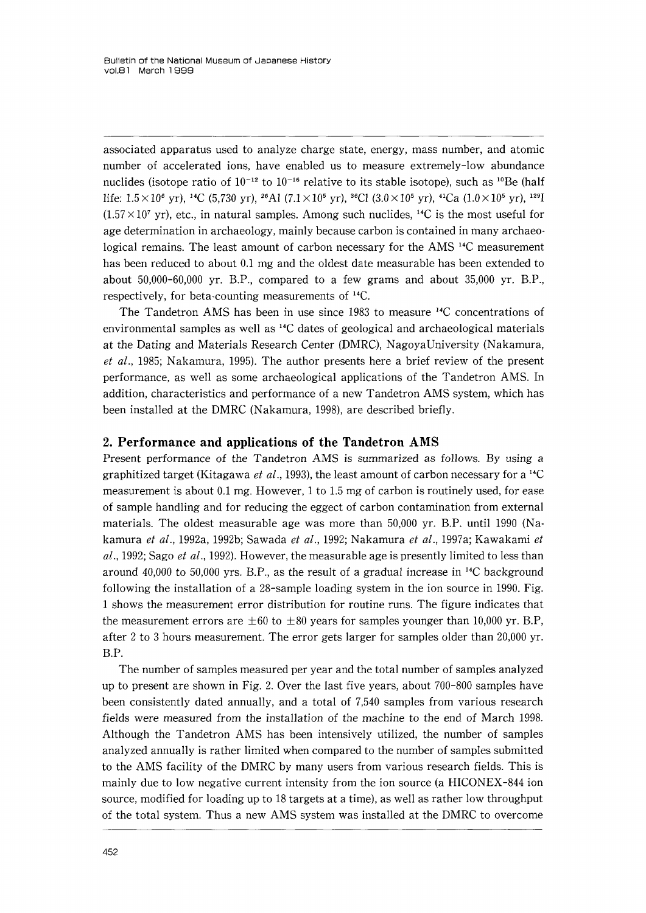associated apparatus used to analyze charge state, energy, mass number, and atomic number of accelerated ions, have enabled us to measure extremely-low abundance nuclides (isotope ratio of  $10^{-12}$  to  $10^{-16}$  relative to its stable isotope), such as <sup>10</sup>Be (half life:  $1.5 \times 10^6$  yr), <sup>14</sup>C (5,730 yr), <sup>26</sup>Al (7.1×10<sup>5</sup> yr), <sup>36</sup>Cl (3.0×10<sup>5</sup> yr), <sup>41</sup>Ca (1.0×10<sup>5</sup> yr), <sup>129</sup>I  $(1.57\times10^7 \text{ yr})$ , etc., in natural samples. Among such nuclides, <sup>14</sup>C is the most useful for age determination in archaeology, mainly because carbon is contained in many archaeo・ logical remains. The least amount of carbon necessary for the AMS <sup>14</sup>C measurement has been reduced to about O.1 mg and the oldest date measurable has been extended to about 50,000-60,000 yr. B.P., compared to a few grams and about 35,000 yr. B.P., respectively, for beta・counting measurements of 14C.

The Tandetron AMS has been in use since 1983 to measure  $^{14}C$  concentrations of environmental samples as well as  $^{14}C$  dates of geological and archaeological materials at the Dating and Materials Research Center(DMRC), NagoyaUniversity(Nakamura, et al., 1985; Nakamura, 1995). The author presents here a brief review of the present performance, as well as some archaeological applications of the Tandetron AMS. In addition, characteristics and performance of a new Tandetron AMS system, which has been installed at the DMRC(Nakamura,1998), are described briefly.

### 2.Performance and applications of the Tandetron AMS

Present performance of the Tandetron AMS is summarized as follows. By using a graphitized target (Kitagawa *et al.*, 1993), the least amount of carbon necessary for a <sup>14</sup>C measurement is about 0.1 mg. However, 1 to 1.5 mg of carbon is routinely used, for ease of sample handling and for reducing the eggect of carbon contamination from external materials. The oldest measurable age was more than 50,000 yr. B.P. until 1990 (Nakamura et al., 1992a, 1992b; Sawada et al., 1992; Nakamura et al., 1997a; Kawakami et  $al., 1992$ ; Sago *et al.*, 1992). However, the measurable age is presently limited to less than around  $40,000$  to 50,000 yrs. B.P., as the result of a gradual increase in <sup>14</sup>C background following the installation of a 28-sample loading system in the ion source in 1990. Fig. 1shows the measurement error distribution for routine runs. The figure indicates that the measurement errors are  $\pm 60$  to  $\pm 80$  years for samples younger than 10,000 yr. B.P, after 2 to 3 hours measurement. The error gets larger for samples older than 20,000 yr. B.P.

 The number of samples measured per year and the total number of samples analyzed up to present are shown in Fig.2. Over the last five years, about 700-800 samples have been consistently dated annually, and a total of 7,540 samples from various research fields were measured from the installation of the machine to the end of March 1998. Although the Tandetron AMS has been intensively utilized, the number of samples analyzed annually is rather limited when compared to the number of samples submitted to the AMS facility of the DMRC by many users from various research fields. This is mainly due to low negative current intensity from the ion source (a HICONEX-844 ion source, modified for loading up to 18 targets at a time), as well as rather low throughput of the total system. Thus a new AMS system was installed at the DMRC to overcome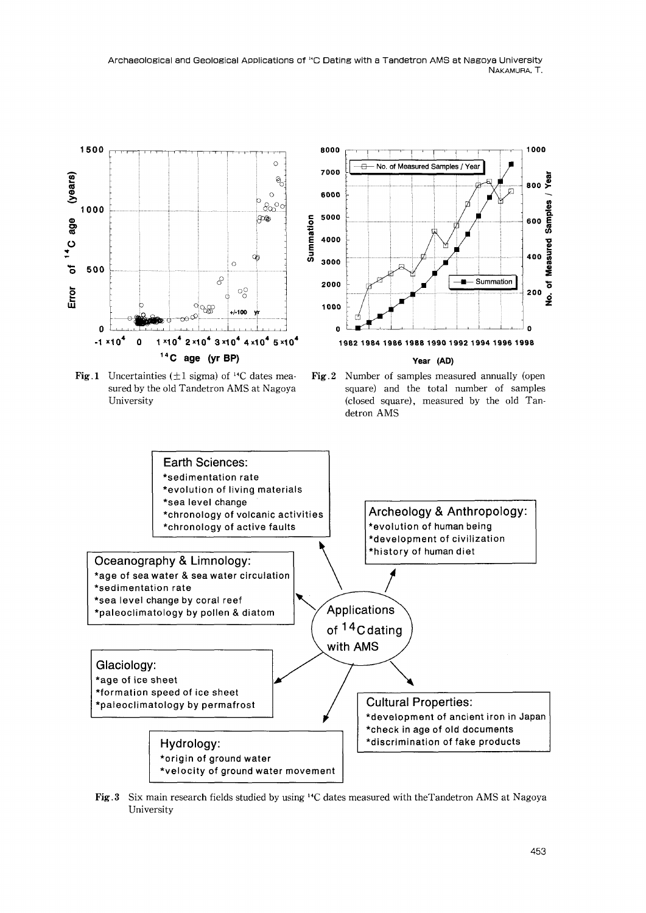Archaeological and Geological Applications of <sup>14</sup>C Dating with a Tandetron AMS at Nagoya University<br>NAKAMURA, T. NAKAMURA, T.



Fig.3 Six main research fields studied by using <sup>14</sup>C dates measured with the Tandetron AMS at Nagoya University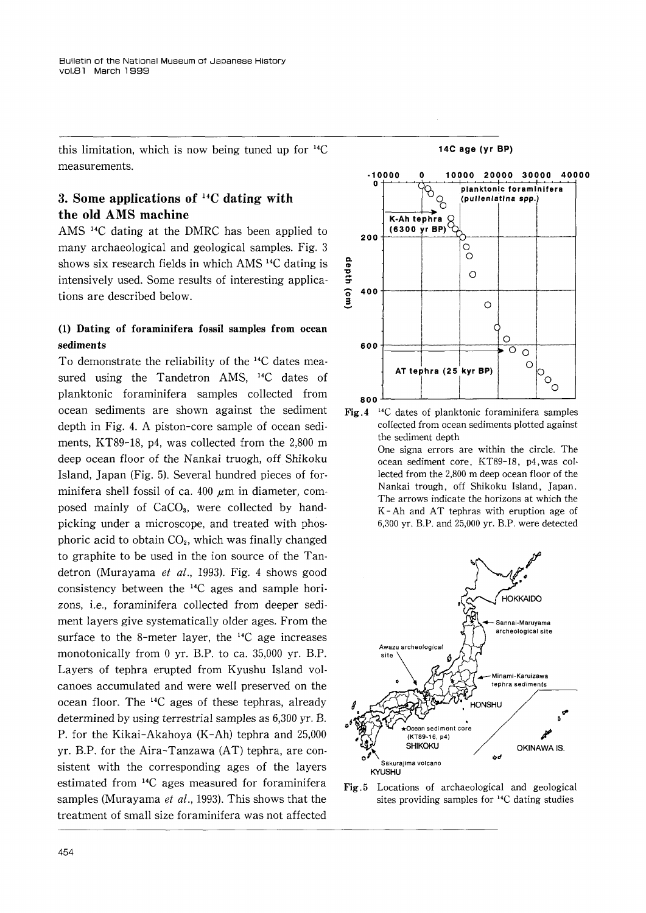this limitation, which is now being tuned up for 14C measurements.

# 3. Some applications of  $^{14}C$  dating with the old AMS machine

AMS 14C dating at the DMRC has been applied to many archaeological and geological samples. Fig.3 shows six research fields in which AMS 14C dating is intensively used. Some results of interesting applications are described below.

# (1) Dating of foraminifera fossil samples from ocean sediments

To demonstrate the reliability of the 14C dates mea・ sured using the Tandetron AMS, <sup>14</sup>C dates of planktonic foraminifera samples collected from ocean sediments are shown against the sediment depth in Fig.4. A piston-core sample of ocean sedi ments, KT89-18, p4, was collected from the 2,800 m deep ocean floor of the Nankai truogh, off Shikoku Island, Japan(Fig.5). Several hundred pieces of for minifera shell fossil of ca. 400  $\mu$ m in diameter, composed mainly of CaCO<sub>3</sub>, were collected by handpicking under a microscope, and treated with phosphoric acid to obtain  $CO<sub>2</sub>$ , which was finally changed to graphite to be used in the ion source of the Tan detron (Murayama et al., 1993). Fig. 4 shows good consistency between the 14C ages and sample hori・ zons, i.e., foraminifera collected from deeper sedi ment layers give systematically older ages. From the surface to the 8-meter layer, the  $^{14}C$  age increases monotonically from 0 yr. B.P. to ca. 35,000 yr. B.P. Layers of tephra erupted from Kyushu Island vol canoes accumulated and were well preserved on the ocean floor. The 14C ages of these tephras, already determined by using terrestrial samples as 6,300 yr. B. P. for the Kikai-Akahoya (K-Ah) tephra and 25,000 yr. B.P. for the Aira-Tanzawa  $(AT)$  tephra, are consistent with the corresponding ages of the layers estimated from 14C ages measured for foraminifera samples (Murayama et al., 1993). This shows that the treatment of small size foraminifera was not affected



14C age(yr BP)

Fig.4 <sup>14</sup>C dates of planktonic foraminifera samples co11ected from ocean sediments plotted against the sediment depth

One signa errors are within the circle. The ocean sediment core, KT89-18, p4,was col・ lected from the 2,800 m deep ocean floor of the Nankai trough, off Shikoku Island, Japan. The arrows indicate the horizons at which the K-Ah and AT tephras with eruption age of 6,300yr. B.P. and 25,000 yr. B.P. were detected



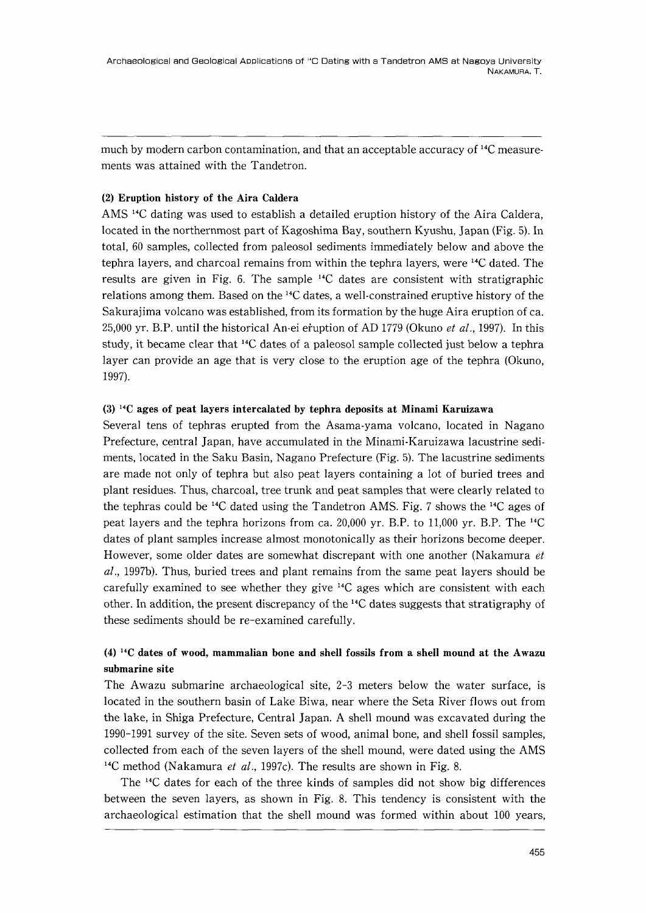much by modern carbon contamination, and that an acceptable accuracy of 14C measure. ments was attained with the Tandetron.

### (2)Eruption history of the Aira Caldera

AMS 14C dating was used to establish a detailed eruption history of the Aira Caldera, located in the northernmost part of Kagoshima Bay, southern Kyushu, Japan(Fig.5). In total,60 samples, collected from paleosol sediments immediately below and above the tephra layers, and charcoal remains from within the tephra layers, were 14C dated. The results are given in Fig.6. The sample 14C dates are consistent with stratigraphic relations among them. Based on the 14C dates, a well・constrained eruptive history of the Sakurajima volcano was established, from its formation by the huge Aira eruption of ca. 25,000 yr. B.P. until the historical An-ei eruption of AD 1779 (Okuno et al., 1997). In this study, it became clear that 14C dates of a paleosol sample collected just below a tephra layer can provide an age that is very close to the eruption age of the tephra(Okuno, 1997).

### (3)14C ages of peat layers intercalated by tephra deposits at Minami Karuizawa

Several tens of tephras erupted from the Asama・yama volcano, located in Nagano Prefecture, central Japan, have accumulated in the Minarni・Karuizawa lacustrine sedi ments, located in the Saku Basin, Nagano Prefecture(Fig.5). The lacustrine sediments are made not only of tephra but also peat layers containing a lot of buried trees and plant residues. Thus, charcoa1, tree trunk and peat samples that were clearly related to the tephras could be  $^{14}C$  dated using the Tandetron AMS. Fig. 7 shows the  $^{14}C$  ages of peat layers and the tephra horizons from ca.20,000 yr. B.P. to 11,000 yr. B.P. The 14C dates of plant samples increase almost monotonically as their horizons become deeper. However, some older dates are somewhat discrepant with one another (Nakamura et  $al.$ , 1997b). Thus, buried trees and plant remains from the same peat layers should be carefully examined to see whether they give 14C ages which are consistent with each other. In addition, the present discrepancy of the  $\frac{14}{3}$  dates suggests that stratigraphy of these sediments should be re-examined carefully.

# $(4)$ <sup>14</sup>C dates of wood, mammalian bone and shell fossils from a shell mound at the Awazu submarine site

The Awazu submarine archaeological site,2-3 meters below the water surface, is located in the southern basin of Lake Biwa, near where the Seta River flows out from the lake, in Shiga Prefecture, Central Japan. A shell mound was excavated during the 1990-1991 survey of the site. Seven sets of wood, animal bone, and shell fossil samples, collected from each of the seven layers of the shell mound, were dated using the AMS <sup>14</sup>C method (Nakamura et al., 1997c). The results are shown in Fig. 8.

 The 14C dates for each of the three kinds of samples did not show big differences between the seven layers, as shown in Fig.8. This tendency is consistent with the archaeological estimation that the shell mound was formed within about 100 years,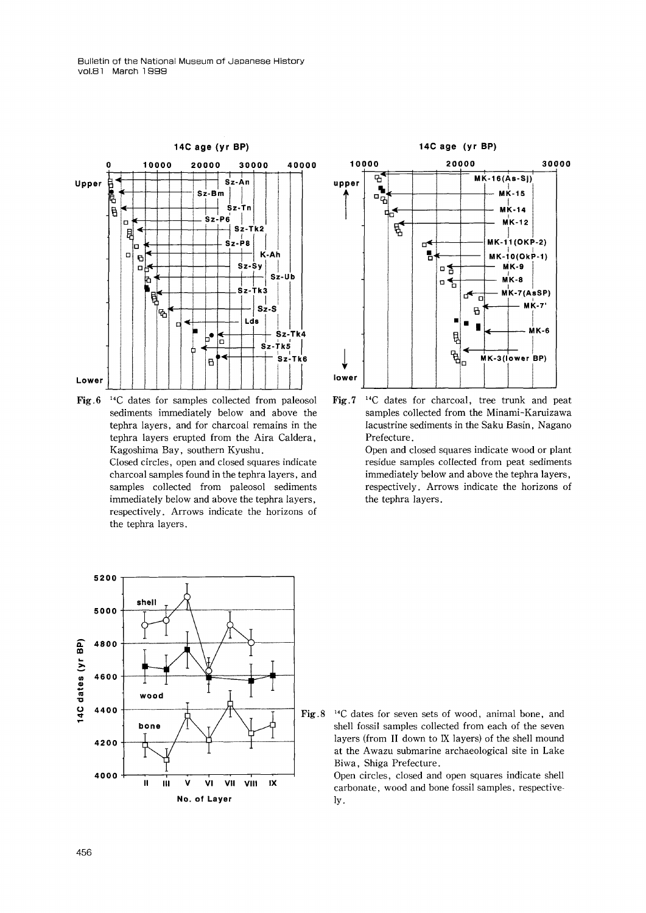

Fig.6 <sup>14</sup>C dates for samples collected from paleosol sediments immediately below and above the tephra layers, and for charcoal remains in the tephra layers erupted from the Aira Caldera, Kagoshima Bay, southern Kyushu. Closed circles, open and closed squares indicate

charcoal samples found in the tephra layers, and samples collected from paleosol sediments immediately below and above the tephra Iayers, respectively. Arrows indicate the horizons of the tephra layers.



Fig.7  $14$ C dates for charcoal, tree trunk and peat samples collected from the Minami-Karuizawa Iacustrine sediments in the Saku Basin, Nagano Prefecture.

> Open and closed squares indicate wood or plant residue samples collected from peat sediments immediately below and above the tephra layers, respectively. Arrows indicate the horizons of the tephra layers.



Fig.8  $^{14}$ C dates for seven sets of wood, animal bone, and shell fossil samples collected from each of the seven layers (from II down to IX layers) of the shell mound at the Awazu submarine archaeological site in Lake Biwa, Shiga Prefecture.

> Open circles, closed and open squares indicate shell carbonate, wood and bone fossil samples, respective- ly.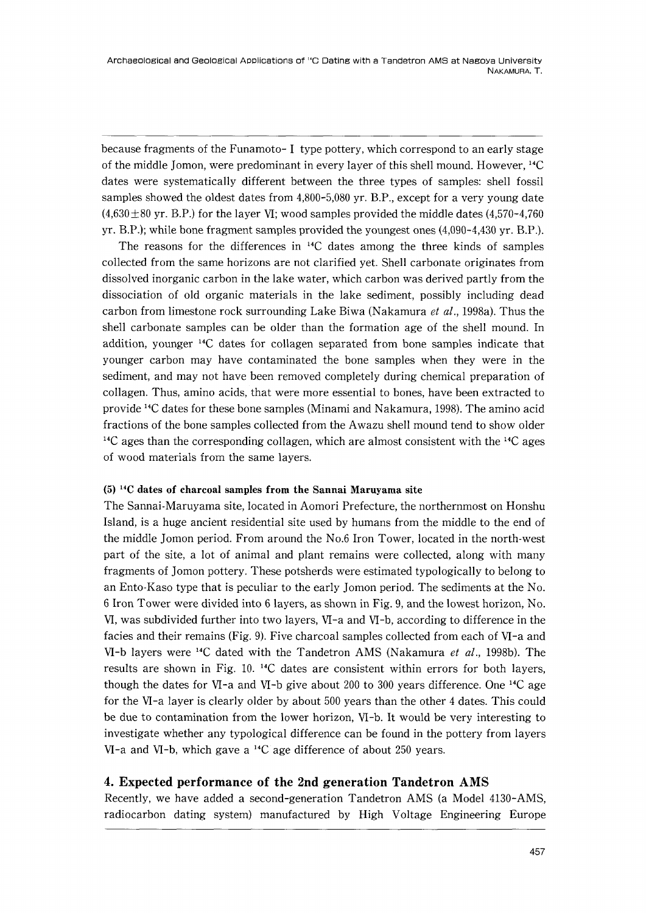because fragments of the Funamoto-I type pottery, which correspond to an early stage of the middle Jomon, were predominant in every layer of this shell mound. However,  $^{14}C$ dates were systematically different between the three types of samples: shell fossil samples showed the oldest dates from 4,800-5,080 yr. B.P., except for a very young date  $(4,630\pm80 \text{ yr}$ . B.P.) for the layer VI; wood samples provided the middle dates (4,570-4,760) yr. B.P.); while bone fragment samples provided the youngest ones  $(4,090-4,430 \text{ yr}$ . B.P.).

The reasons for the differences in  $^{14}C$  dates among the three kinds of samples collected from the same horizons are not clarified yet. Shell carbonate originates from dissolved inorganic carbon in the lake water, which carbon was derived partly from the dissociation of old organic materials in the lake sediment, possibly including dead carbon from limestone rock surrounding Lake Biwa (Nakamura et al., 1998a). Thus the shell carbonate samples can be older than the formation age of the shell mound. In addition, younger 14C dates for collagen separated from bone samples indicate that younger carbon may have contaminated the bone samples when they were in the sediment, and may not have been removed completely during chemical preparation of collagen. Thus, amino acids, that were more essential to bones, have been extracted to provide 14C dates for these bone samples(Minami and Nakamura,1998). The amino acid fractions of the bone samples collected from the Awazu shell mound tend to show older  $14^{\circ}$  C ages than the corresponding collagen, which are almost consistent with the  $14^{\circ}$  ages of wood materials from the same layers.

### $(5)$ <sup>14</sup>C dates of charcoal samples from the Sannai Maruyama site

The Sannai-Maruyama site, located in Aomori Prefecture, the northernmost on Honshu Island, is a huge ancient residential site used by humans from the middle to the end of the middle Jomon period. From around the No.6 Iron Tower, located in the north-west part of the site, a lot of animal and plant remains were collected, along with many fragments of Jomon pottery. These potsherds were estimated typologically to belong to an Ento-Kaso type that is peculiar to the early Jomon period. The sediments at the No. 61ron Tower were divided into 61ayers, as shown in Fig.9, and the lowest horizon, No. VI, was subdivided further into two layers, VI-a and VI-b, according to difference in the facies and their remains(Fig.9). Five charcoal samples collected from each of VI-a and VI-b layers were <sup>14</sup>C dated with the Tandetron AMS (Nakamura *et al.*, 1998b). The results are shown in Fig.10.14C dates are consistent within errors for both layers, though the dates for VI-a and VI-b give about 200 to 300 years difference. One <sup>14</sup>C age for the VI-a layer is clearly older by about 500 years than the other 4 dates. This could be due to contamination from the lower horizon, VI-b. It would be very interesting to investigate whether any typological difference can be found in the pottery from layers  $VI$ -a and  $VI$ -b, which gave a <sup>14</sup>C age difference of about 250 years.

# 4. Expected performance of the 2nd generation Tandetron AMS

Recently, we have added a second-generation Tandetron AMS(a Mode14130-AMS, radiocarbon dating system)manufactured by High Voltage Engineering Europe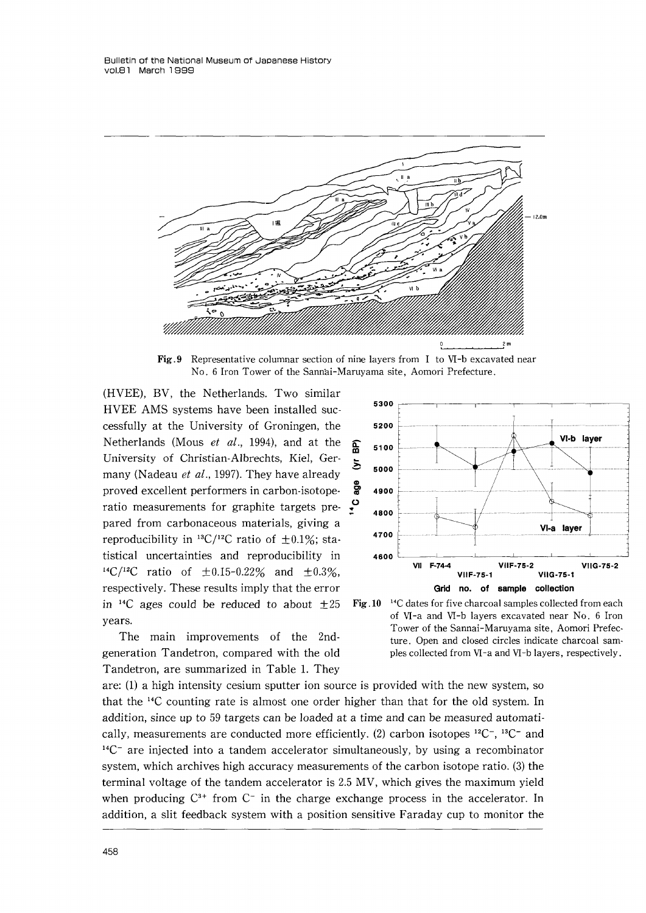

Fig.9 Representative columnar section of nine layers from I to VI-b excavated near No. 6 Iron Tower of the Sannai-Maruyama site, Aomori Prefecture.

(HVEE), BV, the Netherlands. Two similar HVEE AMS systems have been installed suc cessfully at the University of Groningen, the Netherlands (Mous et al., 1994), and at the University of Christian-Albrechts, Kiel, Ger many (Nadeau et al., 1997). They have already proved excellent performers in carbon-isotope・ ratio measurements for graphite targets prepared from carbonaceous materials, giving a reproducibility in <sup>13</sup>C/<sup>12</sup>C ratio of  $\pm$ 0.1%; statistical uncertainties and reproducibility in <sup>14</sup>C/<sup>12</sup>C ratio of  $\pm 0.15$ -0.22% and  $\pm 0.3\%$ , respectively. These results imply that the error in <sup>14</sup>C ages could be reduced to about  $\pm 25$ years.

 The main improvements of the 2nd generation Tandetron, compared with the old Tandetron, are summarized in Table 1. They



Fig.  $10^{-14}$ C dates for five charcoal samples collected from each of VI-a and VI-b layers excavated near No. 6 Iron Tower of the Sannai-Maruyama site, Aomori Prefec・ ture. Open and closed circles indicate charcoal sam・ ples collected from VI-a and VI-b layers, respectively.

are:  $(1)$  a high intensity cesium sputter ion source is provided with the new system, so that the 14C counting rate is almost one order higher than that for the old system. In addition, since up to 59 targets can be loaded at a time and can be measured automati cally, measurements are conducted more efficiently. (2) carbon isotopes  ${}^{12}C^-$ ,  ${}^{13}C^-$  and  $14^1$ <sup>-14</sup>C<sup>-</sup> are injected into a tandem accelerator simultaneously, by using a recombinator system, which archives high accuracy measurements of the carbon isotope ratio.  $(3)$  the terminal voltage of the tandem accelerator is 2.5 MV, which gives the maximum yield when producing  $C^{3+}$  from  $C^-$  in the charge exchange process in the accelerator. In addition, a slit feedback system with a position sensitive Faraday cup to monitor the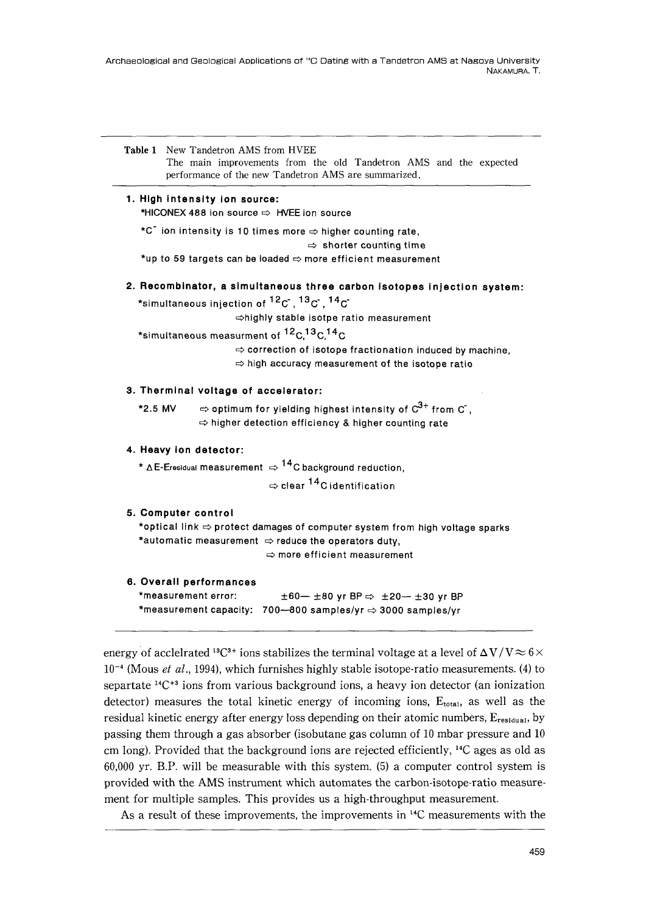Archaeological and Geological Applications of 14G Dating with a Tandetron AMS at Nagoya Unlversity NAKAMURA, T.



### 1. High intensity ion source:

\*HICONEX 488 ion source ⇒ HVEE ion source

★C ion intensity is 10times more⇒higher counting rate,

⇒ShOrter CoUnting time

★upto 59 targets can be loaded⇒more efficient measurement

2. Recombinator, a simultaneous three carbon isotopes injection system:

\*simultaneous injection of  ${}^{12}C$ ,  ${}^{13}C$ ,  ${}^{14}C$ 

⇒highly stable isotpe ratio measurement

\*simultaneous measurment of <sup>12</sup>C.<sup>13</sup>C.<sup>14</sup>C

 $\Rightarrow$  correction of isotope fractionation induced by machine ⇒high accuracy measurement of the isotope ratio

#### 3. Therminal voltage of accelerator:

\*2.5 MV  $\Rightarrow$  optimum for yielding highest intensity of  $C^{3+}$  from  $C$ ,  $\Rightarrow$  higher detection efficiency & higher counting rate

#### 4. Heavy ion detector:

\*  $\triangle$  E-Eresidual measurement  $\Rightarrow$  <sup>14</sup>C background reduction,

 $\Rightarrow$  clear  $^{14}$ C identification

### 5.Computer control

 ★optical link⇒protect damages of computer system from high voltage sparks ★automatic measurement⇒reduce the operators duty, ⇒more efficient measurement

### 6.Overall performancgs

\*measurement error: ★measurement capacity: 700-800samples/yr⇒3000 samples/yr  $±60-±80$  yr BP $\Rightarrow$   $±20-±30$  yr BP

energy of acclelrated <sup>13</sup>C<sup>3+</sup> ions stabilizes the terminal voltage at a level of  $\Delta V/V \approx 6 \times$  $10^{-4}$  (Mous et al., 1994), which furnishes highly stable isotope-ratio measurements. (4) to separtate  $^{14}C^{+3}$  ions from various background ions, a heavy ion detector (an ionization detector) measures the total kinetic energy of incoming ions,  $E_{total}$ , as well as the residual kinetic energy after energy loss depending on their atomic numbers,  $E_{residual}$ , by passing them through a gas absorber(isobutane gas column of 10 mbar pressure and 10 cm long). Provided that the background ions are rejected efficiently,  $^{14}C$  ages as old as  $60,000$  yr. B.P. will be measurable with this system. (5) a computer control system is provided with the AMS instrument which automates the carbon-isotope-ratio measure・ ment for multiple samples. This provides us a high-throughput measurement.

As a result of these improvements, the improvements in 14C measurements with the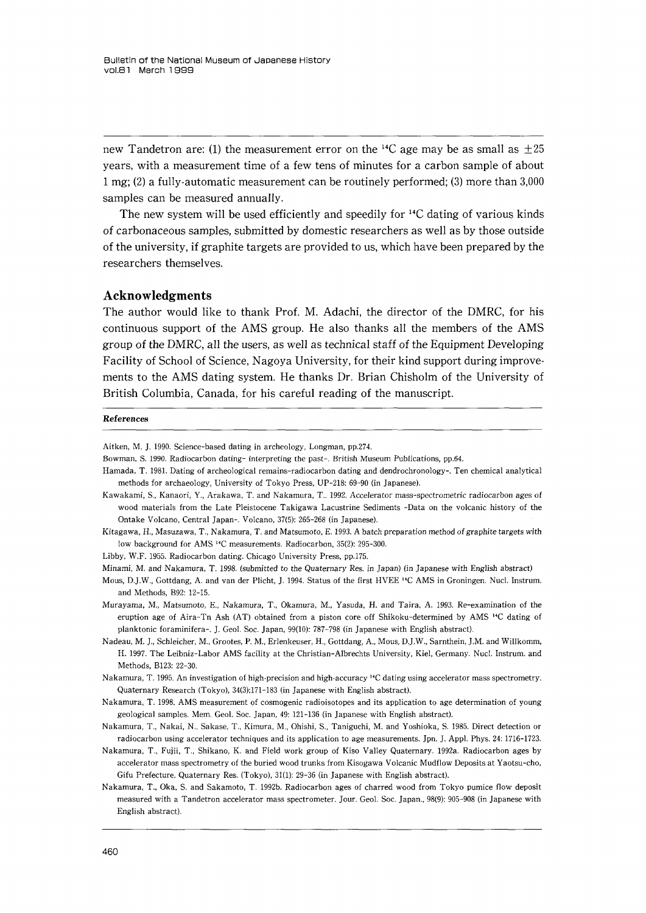new Tandetron are: (1) the measurement error on the <sup>14</sup>C age may be as small as  $\pm 25$ years, with a measurement time of a few tens of minutes for a carbon sample of about l mg;  $(2)$  a fully-automatic measurement can be routinely performed;  $(3)$  more than 3,000 samples can be measured annually.

 The new system will be used efficiently and speedily for 14C dating of various kinds of carbonaceous sarnples, submitted by domestic researchers as well as by those outside of the university, if graphite targets are provided to us, which have been prepared by the researchers themselves.

#### Acknowledgments

The author would like to thank Prof. M. Adachi, the director of the DMRC, for his continuous support of the AMS group. He also thanks all the members of the AMS group of the DMRC, all the users, as well as technical staff of the Equipment Developing Facility of School of Science, Nagoya University, for their kind support during improve ments to the AMS dating system. He thanks Dr. Brian Chisholm of the University of British Columbia, Canada, for his careful reading of the manuscript.

#### References

Aitken, M. J. 1990. Science-based dating in archeology, Longman, pp.274.

Hamada, T.1981. Dating of archeological remains-radiocarbon dating and dendrochronology-. Ten chemical analytical methods for archaeology, University of Tokyo Press, UP-218:69-90(in Japanese}.

Kawakami, S., Kanaori, Y., Arakawa, T. and Nakamura, T.. 1992. Accelerator mass-spectrometric radiocarbon ages of wood materials from the Late Pleistocene Takigawa Lacustrine Sediments-Data on the volcanic history of the Ontake Volcano, Central Japan-. Volcano,37(5):265-268(in Japanese).

Kitagawa, H., Masuzawa, T., Nakamura, T. and Matsumoto, E. 1993. A batch preparation method of graphite targets with Iow background for AMS 14C measurements. Radiocarbon,35(2):295-300.

Libby, W.F.1955. Radiocarbon dating. Chicago University Press, pp.175.

Minami, M. and Nakamura, T. 1998. (submitted to the Quaternary Res. in Japan) (in Japanese with English abstract)

- Mous, DJ.W., Gottdang, A. and van der Plicht, J.1994. Status of the first HVEE 14C AMS in Groningen. Nucl. Instrum. and Methods, B92:12-15.
- Murayama, M., Matsumoto, E., Nakamura, T., Okamura, M., Yasuda, H. and Taira, A. 1993. Re-examination of the eruption age of Aira-Tn Ash (AT) obtained from a piston core off Shikoku-determined by AMS <sup>14</sup>C dating of planktonic foraminifera-. J, Geo1. Soc. Japan,99(10):787-798(in Japanese with English abstract).
- Nadeau, M. J., Schleicher, M., Grootes, P. M., Erlenkeuser, H., Gottdang, A., Mous, D.J.W., Sarnthein, J.M. and Willkomm, H.1997.The Leibniz-Labor AMS facility at the Christian-Albrechts University, Kie1, Germany. Nucl. Instrum. and Methods, B123:22-30.

Nakamura, T.1995. An investigation of high・precision and high・accuracy l4C dating using accelerator mass spectrometry. Quaternary Research(Tokyo),34(3):171-183(in Japanese with English abstract),

Nakamura, T.1998. AMS measurement of cosmogenic radioisotopes and its application to age determination of young geological samples. Mem. Geol. Soc. Japan,49:121-136(in Japanese with English abstract).

- Nakamura, T., Nakai, N., Sakase, T., Kimura, M., Ohishi, S., Taniguchi, M. and Yoshioka, S,1985. Direct detection or radiocarbon using accelerator techniques and its application to age measurements. Jpn. J. Appl. Phys. 24: 1716-1723.
- Nakamura, T., Fujii, T., Shikano, K. and Field work group of Kiso Valley Quaternary.1992a. Radiocarbon ages by accelerator mass spectrometry of the buried wood trunks from Kisogawa Volcanic Mudflow Deposits at Yaotsu-cho, Gifu Prefecture. Quaternary Res.(Tokyo),31(1):29-36(in Japanese with English abstract).
- Nakamura, T., Oka, S. and Sakamoto, T.1992b. Radiocarbon ages of charred wood from Tokyo pumice flow deposit measured with a Tandetron accelerator mass spectrometer. Jour. Geol, Soc. Japan.,98(9):905-908(in Japanese with English abstract).

Bowman, S」990. Radiocarbon dating-interpreting the past-. British Museum Publications, pp.64.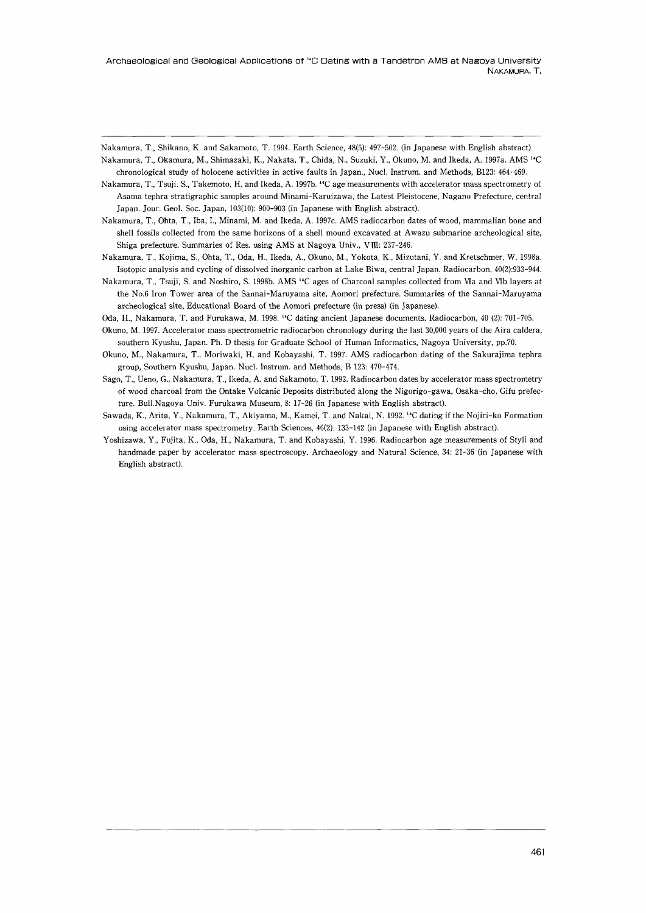Archaeological and Geological Applications of <sup>1</sup>℃ Dating with a Tandetron AMS at Nagoya University NAKAMURA, T.

Nakamura, T, Shikano, K. and Sakamoto, T.1994. Earth Science,48(5):497-502.(in Japanese with English abstract) Nakamura, T., Okamura, M., Shimazaki, K., Nakata, T., Chida, N., Suzuki, Y., Okuno, M. and Ikeda, A.1997a. AMS 14C chronological study of holocene activities in active faults in Japan., Nucl. Instrum. and Methods, B123: 464-469.

Nakamura, T., Tsuji. S., Takemoto, H. and Ikeda, A. 1997b. <sup>14</sup>C age measurements with accelerator mass spectrometry of Asama tephra stratigraphic samples around Minami-Karuizawa, the Latest Pleistocene, Nagano Prefecture, central Japan. Jour. Geol. Soc. Japan, 103(10): 900-903 (in Japanese with English abstract).

Nakamura, T., Ohta, T., Iba,1., Minami, M. and Ikeda, A,1997c. AMS radiocarbon dates of wood, mammalian bone and shell fossils collected from the same horizons of a shell mound excavated at Awazu submarine archeological site, Shiga prefecture. Summaries of Res. using AMS at Nagoya Univ., VIII: 237-246.

Nakamura, T., Kojima, S., Ohta, T., Oda, H., Ikeda, A., Okuno, M., Yokota, K., Mizutani, Y. and Kretschmer, W.1998a, Isotoplc analysis and cycling of dissolved inorganic carbon at Lake Biwa, central Japan. Radiocarbon,40(2}:933-944.

Nakamura, T., Tsuji, S. and Noshiro, S. 1998b. AMS<sup>14</sup>C ages of Charcoal samples collected from VIa and VIb layers at the No.6 Iron Tower area of the Sannai-Maruyama site, Aomori prefecture. Summaries of the Sannai-Maruyama archeological site, Educational Board of the Aomori prefecture (in press) (in Japanese).

Oda, H., Nakamura, T. and Furukawa, M. 1998.<sup>14</sup>C dating ancient Japanese documents. Radiocarbon, 40 (2): 701-705.

Okuno, M.1997. Accelerator mass spectrometric radiocarbon chronology during the last 30ρ00 years of the Aira caldera, southern Kyushu, Japan. Ph. D thesis for Graduate School of Human Informatics, Nagoya University, pp.70.

Okuno, M., Nakamura, T., Moriwaki, H. and Kobayashi, T,1997. AMS radiocarbon dating of the Sakurajima tephra group, Southern Kyushu, Japan. Nucl. Instrum. and Methods, B 123: 470-474.

Sago, T., Ueno, G., Nakamura, T, Ikeda, A. and Sakamoto, T.1992. Radiocarbon dates by accelerator mass spectrometry of wood charcoal from the Ontake Volcanic Deposits distributed along the Nigorigo-gawa, Osaka-cho, Gifu prefec・ ture. Bull.Nagoya Univ. Furukawa Museum, 8: 17-26 (in Japanese with English abstract).

Sawada, K., Arita, Y., Nakamura, T., Akiyama, M., Kamei, T, and Nakai, N,1992.14C dating if the Nojiri-ko Formation using accelerator mass spectrometry. Earth Sciences, 46(2): 133-142 (in Japanese with English abstract).

Yoshizawa, Y., Fujita, K., Oda, H., Nakamura, T. and Kobayashi, Y. 1996. Radiocarbon age measurements of Styli and handmade paper by accelerator mass spectroscopy. Archaeology and Natural Science,34:21-36(in Japanese with English abstract).